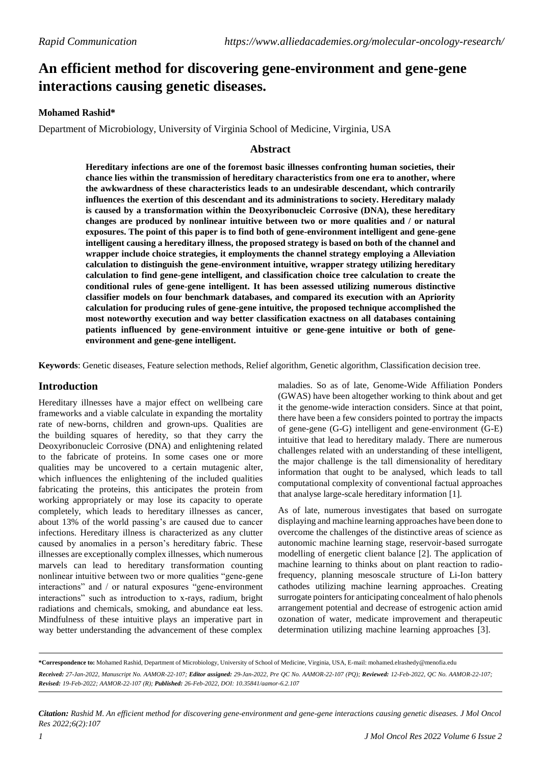# **An efficient method for discovering gene-environment and gene-gene interactions causing genetic diseases.**

## **Mohamed Rashid\***

Department of Microbiology, University of Virginia School of Medicine, Virginia, USA

## **Abstract**

**Hereditary infections are one of the foremost basic illnesses confronting human societies, their chance lies within the transmission of hereditary characteristics from one era to another, where the awkwardness of these characteristics leads to an undesirable descendant, which contrarily influences the exertion of this descendant and its administrations to society. Hereditary malady is caused by a transformation within the Deoxyribonucleic Corrosive (DNA), these hereditary changes are produced by nonlinear intuitive between two or more qualities and / or natural exposures. The point of this paper is to find both of gene-environment intelligent and gene-gene intelligent causing a hereditary illness, the proposed strategy is based on both of the channel and wrapper include choice strategies, it employments the channel strategy employing a Alleviation calculation to distinguish the gene-environment intuitive, wrapper strategy utilizing hereditary calculation to find gene-gene intelligent, and classification choice tree calculation to create the conditional rules of gene-gene intelligent. It has been assessed utilizing numerous distinctive classifier models on four benchmark databases, and compared its execution with an Apriority calculation for producing rules of gene-gene intuitive, the proposed technique accomplished the most noteworthy execution and way better classification exactness on all databases containing patients influenced by gene-environment intuitive or gene-gene intuitive or both of geneenvironment and gene-gene intelligent.**

**Keywords**: Genetic diseases, Feature selection methods, Relief algorithm, Genetic algorithm, Classification decision tree.

## **Introduction**

Hereditary illnesses have a major effect on wellbeing care frameworks and a viable calculate in expanding the mortality rate of new-borns, children and grown-ups. Qualities are the building squares of heredity, so that they carry the Deoxyribonucleic Corrosive (DNA) and enlightening related to the fabricate of proteins. In some cases one or more qualities may be uncovered to a certain mutagenic alter, which influences the enlightening of the included qualities fabricating the proteins, this anticipates the protein from working appropriately or may lose its capacity to operate completely, which leads to hereditary illnesses as cancer, about 13% of the world passing's are caused due to cancer infections. Hereditary illness is characterized as any clutter caused by anomalies in a person's hereditary fabric. These illnesses are exceptionally complex illnesses, which numerous marvels can lead to hereditary transformation counting nonlinear intuitive between two or more qualities "gene-gene interactions" and / or natural exposures "gene-environment interactions" such as introduction to x-rays, radium, bright radiations and chemicals, smoking, and abundance eat less. Mindfulness of these intuitive plays an imperative part in way better understanding the advancement of these complex

maladies. So as of late, Genome-Wide Affiliation Ponders (GWAS) have been altogether working to think about and get it the genome-wide interaction considers. Since at that point, there have been a few considers pointed to portray the impacts of gene-gene (G-G) intelligent and gene-environment (G-E) intuitive that lead to hereditary malady. There are numerous challenges related with an understanding of these intelligent, the major challenge is the tall dimensionality of hereditary information that ought to be analysed, which leads to tall computational complexity of conventional factual approaches that analyse large-scale hereditary information [1].

As of late, numerous investigates that based on surrogate displaying and machine learning approaches have been done to overcome the challenges of the distinctive areas of science as autonomic machine learning stage, reservoir-based surrogate modelling of energetic client balance [2]. The application of machine learning to thinks about on plant reaction to radiofrequency, planning mesoscale structure of Li-Ion battery cathodes utilizing machine learning approaches. Creating surrogate pointers for anticipating concealment of halo phenols arrangement potential and decrease of estrogenic action amid ozonation of water, medicate improvement and therapeutic determination utilizing machine learning approaches [3].

**\*Correspondence to:** Mohamed Rashid, Department of Microbiology, University of School of Medicine, Virginia, USA, E-mail: [mohamed.elrashedy@menofia.edu](mailto:mohamed.elrashedy@menofia.edu) Received: 27-Jan-2022, Manuscript No. AAMOR-22-107; Editor assigned: 29-Jan-2022, Pre QC No. AAMOR-22-107 (PQ); Reviewed: 12-Feb-2022, QC No. AAMOR-22-107; *Revised: 19-Feb-2022; AAMOR-22-107 (R); Published: 26-Feb-2022, DOI: 10.35841/aamor-6.2.107*

*Citation: Rashid M. An efficient method for discovering gene-environment and gene-gene interactions causing genetic diseases. J Mol Oncol Res 2022;6(2):107*